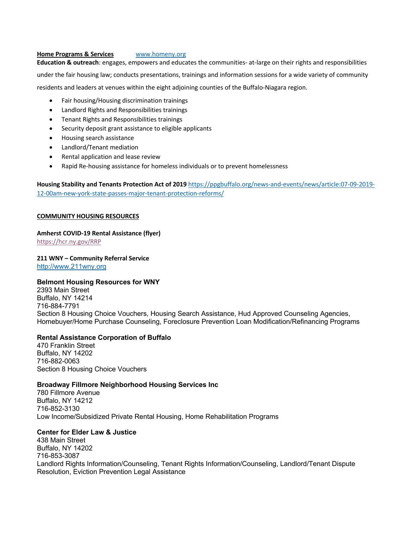#### **Home Programs & Services** www.homeny.org

**Education & outreach**: engages, empowers and educates the communities- at-large on their rights and responsibilities

under the fair housing law; conducts presentations, trainings and information sessions for a wide variety of community residents and leaders at venues within the eight adjoining counties of the Buffalo-Niagara region.

- Fair housing/Housing discrimination trainings
- Landlord Rights and Responsibilities trainings
- Tenant Rights and Responsibilities trainings
- Security deposit grant assistance to eligible applicants
- Housing search assistance
- Landlord/Tenant mediation
- Rental application and lease review
- Rapid Re-housing assistance for homeless individuals or to prevent homelessness

**Housing Stability and Tenants Protection Act of 2019** https://ppgbuffalo.org/news-and-events/news/article:07-09-2019- 12-00am-new-york-state-passes-major-tenant-protection-reforms/

## **COMMUNITY HOUSING RESOURCES**

#### **Amherst COVID-19 Rental Assistance (flyer)**

https://hcr.ny.gov/RRP

## **211 WNY – Community Referral Service**

http://www.211wny.org

## **Belmont Housing Resources for WNY**

2393 Main Street Buffalo, NY 14214 716-884-7791 Section 8 Housing Choice Vouchers, Housing Search Assistance, Hud Approved Counseling Agencies, Homebuyer/Home Purchase Counseling, Foreclosure Prevention Loan Modification/Refinancing Programs

## **Rental Assistance Corporation of Buffalo**

470 Franklin Street Buffalo, NY 14202 716-882-0063 Section 8 Housing Choice Vouchers

## **Broadway Fillmore Neighborhood Housing Services Inc**

780 Fillmore Avenue Buffalo, NY 14212 716-852-3130 Low Income/Subsidized Private Rental Housing, Home Rehabilitation Programs

## **Center for Elder Law & Justice**

438 Main Street Buffalo, NY 14202 716-853-3087 Landlord Rights Information/Counseling, Tenant Rights Information/Counseling, Landlord/Tenant Dispute Resolution, Eviction Prevention Legal Assistance